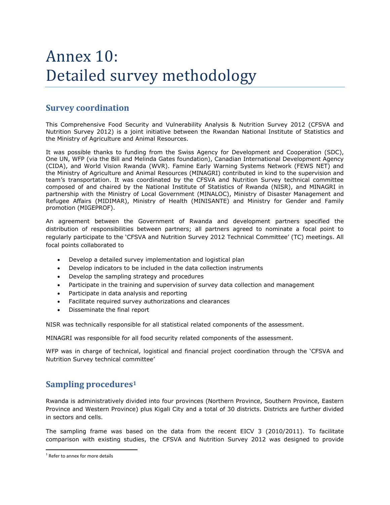# Annex 10: Detailed survey methodology

# **Survey coordination**

This Comprehensive Food Security and Vulnerability Analysis & Nutrition Survey 2012 (CFSVA and Nutrition Survey 2012) is a joint initiative between the Rwandan National Institute of Statistics and the Ministry of Agriculture and Animal Resources.

It was possible thanks to funding from the Swiss Agency for Development and Cooperation (SDC), One UN, WFP (via the Bill and Melinda Gates foundation), Canadian International Development Agency (CIDA), and World Vision Rwanda (WVR). Famine Early Warning Systems Network (FEWS NET) and the Ministry of Agriculture and Animal Resources (MINAGRI) contributed in kind to the supervision and team's transportation. It was coordinated by the CFSVA and Nutrition Survey technical committee composed of and chaired by the National Institute of Statistics of Rwanda (NISR), and MINAGRI in partnership with the Ministry of Local Government (MINALOC), Ministry of Disaster Management and Refugee Affairs (MIDIMAR), Ministry of Health (MINISANTE) and Ministry for Gender and Family promotion (MIGEPROF).

An agreement between the Government of Rwanda and development partners specified the distribution of responsibilities between partners; all partners agreed to nominate a focal point to regularly participate to the 'CFSVA and Nutrition Survey 2012 Technical Committee' (TC) meetings. All focal points collaborated to

- Develop a detailed survey implementation and logistical plan
- Develop indicators to be included in the data collection instruments
- Develop the sampling strategy and procedures
- Participate in the training and supervision of survey data collection and management
- Participate in data analysis and reporting
- Facilitate required survey authorizations and clearances
- Disseminate the final report

NISR was technically responsible for all statistical related components of the assessment.

MINAGRI was responsible for all food security related components of the assessment.

WFP was in charge of technical, logistical and financial project coordination through the 'CFSVA and Nutrition Survey technical committee'

# **Sampling procedures<sup>1</sup>**

Rwanda is administratively divided into four provinces (Northern Province, Southern Province, Eastern Province and Western Province) plus Kigali City and a total of 30 districts. Districts are further divided in sectors and cells.

The sampling frame was based on the data from the recent EICV 3 (2010/2011). To facilitate comparison with existing studies, the CFSVA and Nutrition Survey 2012 was designed to provide

 $\overline{a}$ 

 $<sup>1</sup>$  Refer to annex for more details</sup>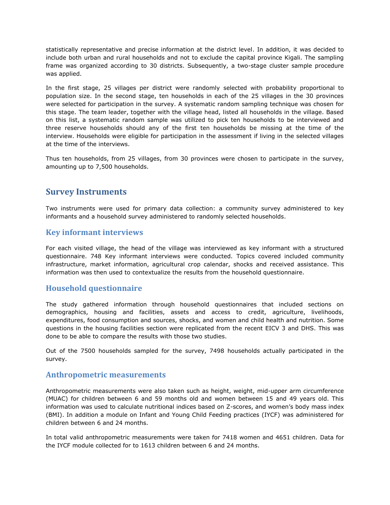statistically representative and precise information at the district level. In addition, it was decided to include both urban and rural households and not to exclude the capital province Kigali. The sampling frame was organized according to 30 districts. Subsequently, a two-stage cluster sample procedure was applied.

In the first stage, 25 villages per district were randomly selected with probability proportional to population size. In the second stage, ten households in each of the 25 villages in the 30 provinces were selected for participation in the survey. A systematic random sampling technique was chosen for this stage. The team leader, together with the village head, listed all households in the village. Based on this list, a systematic random sample was utilized to pick ten households to be interviewed and three reserve households should any of the first ten households be missing at the time of the interview. Households were eligible for participation in the assessment if living in the selected villages at the time of the interviews.

Thus ten households, from 25 villages, from 30 provinces were chosen to participate in the survey, amounting up to 7,500 households.

## **Survey Instruments**

Two instruments were used for primary data collection: a community survey administered to key informants and a household survey administered to randomly selected households.

#### **Key informant interviews**

For each visited village, the head of the village was interviewed as key informant with a structured questionnaire. 748 Key informant interviews were conducted. Topics covered included community infrastructure, market information, agricultural crop calendar, shocks and received assistance. This information was then used to contextualize the results from the household questionnaire.

#### **Household questionnaire**

The study gathered information through household questionnaires that included sections on demographics, housing and facilities, assets and access to credit, agriculture, livelihoods, expenditures, food consumption and sources, shocks, and women and child health and nutrition. Some questions in the housing facilities section were replicated from the recent EICV 3 and DHS. This was done to be able to compare the results with those two studies.

Out of the 7500 households sampled for the survey, 7498 households actually participated in the survey.

#### **Anthropometric measurements**

Anthropometric measurements were also taken such as height, weight, mid-upper arm circumference (MUAC) for children between 6 and 59 months old and women between 15 and 49 years old. This information was used to calculate nutritional indices based on Z-scores, and women's body mass index (BMI). In addition a module on Infant and Young Child Feeding practices (IYCF) was administered for children between 6 and 24 months.

In total valid anthropometric measurements were taken for 7418 women and 4651 children. Data for the IYCF module collected for to 1613 children between 6 and 24 months.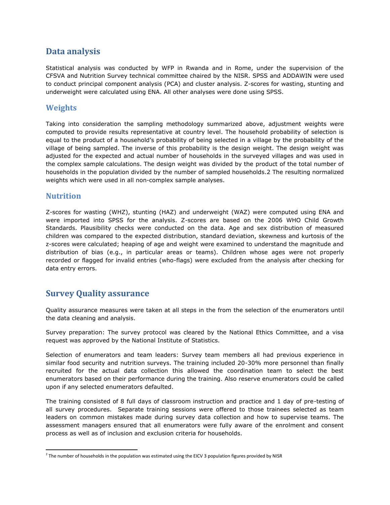## **Data analysis**

Statistical analysis was conducted by WFP in Rwanda and in Rome, under the supervision of the CFSVA and Nutrition Survey technical committee chaired by the NISR. SPSS and ADDAWIN were used to conduct principal component analysis (PCA) and cluster analysis. Z-scores for wasting, stunting and underweight were calculated using ENA. All other analyses were done using SPSS.

### **Weights**

Taking into consideration the sampling methodology summarized above, adjustment weights were computed to provide results representative at country level. The household probability of selection is equal to the product of a household's probability of being selected in a village by the probability of the village of being sampled. The inverse of this probability is the design weight. The design weight was adjusted for the expected and actual number of households in the surveyed villages and was used in the complex sample calculations. The design weight was divided by the product of the total number of households in the population divided by the number of sampled households.2 The resulting normalized weights which were used in all non-complex sample analyses.

#### **Nutrition**

Z-scores for wasting (WHZ), stunting (HAZ) and underweight (WAZ) were computed using ENA and were imported into SPSS for the analysis. Z-scores are based on the 2006 WHO Child Growth Standards. Plausibility checks were conducted on the data. Age and sex distribution of measured children was compared to the expected distribution, standard deviation, skewness and kurtosis of the z-scores were calculated; heaping of age and weight were examined to understand the magnitude and distribution of bias (e.g., in particular areas or teams). Children whose ages were not properly recorded or flagged for invalid entries (who-flags) were excluded from the analysis after checking for data entry errors.

## **Survey Quality assurance**

Quality assurance measures were taken at all steps in the from the selection of the enumerators until the data cleaning and analysis.

Survey preparation: The survey protocol was cleared by the National Ethics Committee, and a visa request was approved by the National Institute of Statistics.

Selection of enumerators and team leaders: Survey team members all had previous experience in similar food security and nutrition surveys. The training included 20-30% more personnel than finally recruited for the actual data collection this allowed the coordination team to select the best enumerators based on their performance during the training. Also reserve enumerators could be called upon if any selected enumerators defaulted.

The training consisted of 8 full days of classroom instruction and practice and 1 day of pre-testing of all survey procedures. Separate training sessions were offered to those trainees selected as team leaders on common mistakes made during survey data collection and how to supervise teams. The assessment managers ensured that all enumerators were fully aware of the enrolment and consent process as well as of inclusion and exclusion criteria for households.

 $\overline{a}$ <sup>2</sup> The number of households in the population was estimated using the EICV 3 population figures provided by NISR